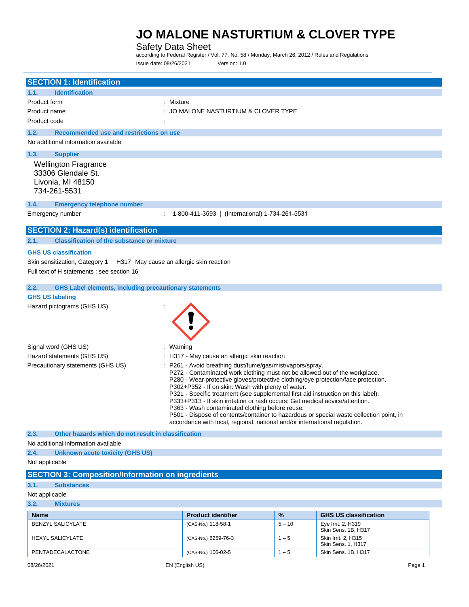# Safety Data Sheet

according to Federal Register / Vol. 77, No. 58 / Monday, March 26, 2012 / Rules and Regulations Issue date: 08/26/2021 Version: 1.0

| <b>SECTION 1: Identification</b>                                                                                                                         |                                                                                                                                                                                                                                                                                                                                                                                                                                                                                                                                                                                                                                                                                    |          |                                           |
|----------------------------------------------------------------------------------------------------------------------------------------------------------|------------------------------------------------------------------------------------------------------------------------------------------------------------------------------------------------------------------------------------------------------------------------------------------------------------------------------------------------------------------------------------------------------------------------------------------------------------------------------------------------------------------------------------------------------------------------------------------------------------------------------------------------------------------------------------|----------|-------------------------------------------|
| <b>Identification</b><br>1.1.<br>Product form<br>: Mixture<br>Product name<br>Product code                                                               | : JO MALONE NASTURTIUM & CLOVER TYPE                                                                                                                                                                                                                                                                                                                                                                                                                                                                                                                                                                                                                                               |          |                                           |
| 1.2.<br>Recommended use and restrictions on use<br>No additional information available                                                                   |                                                                                                                                                                                                                                                                                                                                                                                                                                                                                                                                                                                                                                                                                    |          |                                           |
| 1.3.<br><b>Supplier</b><br><b>Wellington Fragrance</b><br>33306 Glendale St.<br>Livonia, MI 48150<br>734-261-5531                                        |                                                                                                                                                                                                                                                                                                                                                                                                                                                                                                                                                                                                                                                                                    |          |                                           |
| 1.4.<br><b>Emergency telephone number</b><br>Emergency number                                                                                            | 1-800-411-3593   (International) 1-734-261-5531                                                                                                                                                                                                                                                                                                                                                                                                                                                                                                                                                                                                                                    |          |                                           |
| <b>SECTION 2: Hazard(s) identification</b>                                                                                                               |                                                                                                                                                                                                                                                                                                                                                                                                                                                                                                                                                                                                                                                                                    |          |                                           |
| 2.1.<br><b>Classification of the substance or mixture</b>                                                                                                |                                                                                                                                                                                                                                                                                                                                                                                                                                                                                                                                                                                                                                                                                    |          |                                           |
| <b>GHS US classification</b><br>H317 May cause an allergic skin reaction<br>Skin sensitization, Category 1<br>Full text of H statements : see section 16 |                                                                                                                                                                                                                                                                                                                                                                                                                                                                                                                                                                                                                                                                                    |          |                                           |
| 2.2.<br><b>GHS Label elements, including precautionary statements</b>                                                                                    |                                                                                                                                                                                                                                                                                                                                                                                                                                                                                                                                                                                                                                                                                    |          |                                           |
| <b>GHS US labeling</b>                                                                                                                                   |                                                                                                                                                                                                                                                                                                                                                                                                                                                                                                                                                                                                                                                                                    |          |                                           |
| Hazard pictograms (GHS US)                                                                                                                               |                                                                                                                                                                                                                                                                                                                                                                                                                                                                                                                                                                                                                                                                                    |          |                                           |
| Signal word (GHS US)<br>: Warning                                                                                                                        |                                                                                                                                                                                                                                                                                                                                                                                                                                                                                                                                                                                                                                                                                    |          |                                           |
| Hazard statements (GHS US)                                                                                                                               | : H317 - May cause an allergic skin reaction                                                                                                                                                                                                                                                                                                                                                                                                                                                                                                                                                                                                                                       |          |                                           |
| Precautionary statements (GHS US)                                                                                                                        | P261 - Avoid breathing dust/fume/gas/mist/vapors/spray.<br>P272 - Contaminated work clothing must not be allowed out of the workplace.<br>P280 - Wear protective gloves/protective clothing/eye protection/face protection.<br>P302+P352 - If on skin: Wash with plenty of water.<br>P321 - Specific treatment (see supplemental first aid instruction on this label).<br>P333+P313 - If skin irritation or rash occurs: Get medical advice/attention.<br>P363 - Wash contaminated clothing before reuse.<br>P501 - Dispose of contents/container to hazardous or special waste collection point, in<br>accordance with local, regional, national and/or international regulation. |          |                                           |
| 2.3.<br>Other hazards which do not result in classification                                                                                              |                                                                                                                                                                                                                                                                                                                                                                                                                                                                                                                                                                                                                                                                                    |          |                                           |
| No additional information available                                                                                                                      |                                                                                                                                                                                                                                                                                                                                                                                                                                                                                                                                                                                                                                                                                    |          |                                           |
| 2.4.<br><b>Unknown acute toxicity (GHS US)</b><br>Not applicable                                                                                         |                                                                                                                                                                                                                                                                                                                                                                                                                                                                                                                                                                                                                                                                                    |          |                                           |
|                                                                                                                                                          |                                                                                                                                                                                                                                                                                                                                                                                                                                                                                                                                                                                                                                                                                    |          |                                           |
| <b>SECTION 3: Composition/Information on ingredients</b>                                                                                                 |                                                                                                                                                                                                                                                                                                                                                                                                                                                                                                                                                                                                                                                                                    |          |                                           |
| 3.1.<br><b>Substances</b><br>Not applicable                                                                                                              |                                                                                                                                                                                                                                                                                                                                                                                                                                                                                                                                                                                                                                                                                    |          |                                           |
| 3.2.<br><b>Mixtures</b>                                                                                                                                  |                                                                                                                                                                                                                                                                                                                                                                                                                                                                                                                                                                                                                                                                                    |          |                                           |
| <b>Name</b>                                                                                                                                              | <b>Product identifier</b>                                                                                                                                                                                                                                                                                                                                                                                                                                                                                                                                                                                                                                                          | %        | <b>GHS US classification</b>              |
| <b>BENZYL SALICYLATE</b>                                                                                                                                 | (CAS-No.) 118-58-1                                                                                                                                                                                                                                                                                                                                                                                                                                                                                                                                                                                                                                                                 | $5 - 10$ | Eye Irrit. 2, H319<br>Skin Sens. 1B, H317 |
| <b>HEXYL SALICYLATE</b>                                                                                                                                  | (CAS-No.) 6259-76-3                                                                                                                                                                                                                                                                                                                                                                                                                                                                                                                                                                                                                                                                | $1 - 5$  | Skin Irrit. 2, H315<br>Skin Sens. 1, H317 |
| PENTADECALACTONE                                                                                                                                         | (CAS-No.) 106-02-5                                                                                                                                                                                                                                                                                                                                                                                                                                                                                                                                                                                                                                                                 | $1 - 5$  | Skin Sens. 1B, H317                       |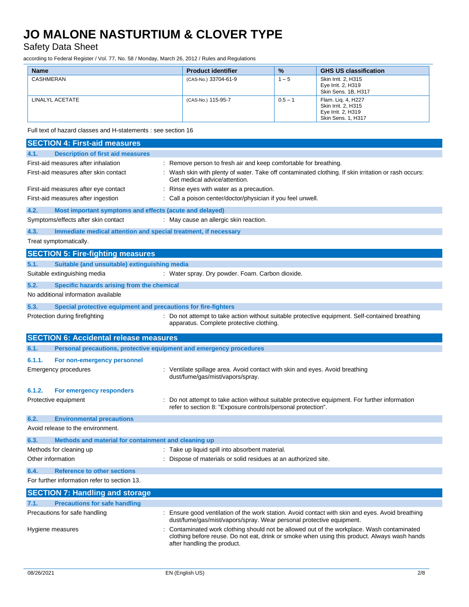Safety Data Sheet

according to Federal Register / Vol. 77, No. 58 / Monday, March 26, 2012 / Rules and Regulations

| <b>Name</b>     | <b>Product identifier</b> | $\frac{9}{6}$ | <b>GHS US classification</b>                                                                 |
|-----------------|---------------------------|---------------|----------------------------------------------------------------------------------------------|
| CASHMERAN       | (CAS-No.) 33704-61-9      | $-5$          | Skin Irrit, 2, H315<br>Eye Irrit. 2, H319<br>Skin Sens, 1B, H317                             |
| LINALYL ACETATE | (CAS-No.) 115-95-7        | $0.5 - 1$     | Flam. Lig. 4, H227<br>Skin Irrit, 2, H315<br>Eye Irrit. 2, H319<br><b>Skin Sens. 1, H317</b> |

Full text of hazard classes and H-statements : see section 16

|        | <b>SECTION 4: First-aid measures</b>                                |                                                                                                                                                                                                                         |
|--------|---------------------------------------------------------------------|-------------------------------------------------------------------------------------------------------------------------------------------------------------------------------------------------------------------------|
| 4.1.   | <b>Description of first aid measures</b>                            |                                                                                                                                                                                                                         |
|        | First-aid measures after inhalation                                 | : Remove person to fresh air and keep comfortable for breathing.                                                                                                                                                        |
|        | First-aid measures after skin contact                               | Wash skin with plenty of water. Take off contaminated clothing. If skin irritation or rash occurs:<br>Get medical advice/attention.                                                                                     |
|        | First-aid measures after eye contact                                | Rinse eyes with water as a precaution.                                                                                                                                                                                  |
|        | First-aid measures after ingestion                                  | : Call a poison center/doctor/physician if you feel unwell.                                                                                                                                                             |
| 4.2.   | Most important symptoms and effects (acute and delayed)             |                                                                                                                                                                                                                         |
|        | Symptoms/effects after skin contact                                 | : May cause an allergic skin reaction.                                                                                                                                                                                  |
| 4.3.   | Immediate medical attention and special treatment, if necessary     |                                                                                                                                                                                                                         |
|        | Treat symptomatically.                                              |                                                                                                                                                                                                                         |
|        | <b>SECTION 5: Fire-fighting measures</b>                            |                                                                                                                                                                                                                         |
| 5.1.   | Suitable (and unsuitable) extinguishing media                       |                                                                                                                                                                                                                         |
|        | Suitable extinguishing media                                        | : Water spray. Dry powder. Foam. Carbon dioxide.                                                                                                                                                                        |
| 5.2.   | Specific hazards arising from the chemical                          |                                                                                                                                                                                                                         |
|        | No additional information available                                 |                                                                                                                                                                                                                         |
| 5.3.   | Special protective equipment and precautions for fire-fighters      |                                                                                                                                                                                                                         |
|        | Protection during firefighting                                      | : Do not attempt to take action without suitable protective equipment. Self-contained breathing<br>apparatus. Complete protective clothing.                                                                             |
|        | <b>SECTION 6: Accidental release measures</b>                       |                                                                                                                                                                                                                         |
| 6.1.   | Personal precautions, protective equipment and emergency procedures |                                                                                                                                                                                                                         |
| 6.1.1. | For non-emergency personnel                                         |                                                                                                                                                                                                                         |
|        | <b>Emergency procedures</b>                                         | : Ventilate spillage area. Avoid contact with skin and eyes. Avoid breathing<br>dust/fume/gas/mist/vapors/spray.                                                                                                        |
| 6.1.2. | For emergency responders                                            |                                                                                                                                                                                                                         |
|        | Protective equipment                                                | Do not attempt to take action without suitable protective equipment. For further information<br>refer to section 8: "Exposure controls/personal protection".                                                            |
| 6.2.   | <b>Environmental precautions</b>                                    |                                                                                                                                                                                                                         |
|        | Avoid release to the environment.                                   |                                                                                                                                                                                                                         |
| 6.3.   | Methods and material for containment and cleaning up                |                                                                                                                                                                                                                         |
|        | Methods for cleaning up                                             | : Take up liquid spill into absorbent material.                                                                                                                                                                         |
|        | Other information                                                   | : Dispose of materials or solid residues at an authorized site.                                                                                                                                                         |
| 6.4.   | <b>Reference to other sections</b>                                  |                                                                                                                                                                                                                         |
|        | For further information refer to section 13.                        |                                                                                                                                                                                                                         |
|        | <b>SECTION 7: Handling and storage</b>                              |                                                                                                                                                                                                                         |
| 7.1.   | <b>Precautions for safe handling</b>                                |                                                                                                                                                                                                                         |
|        | Precautions for safe handling                                       | : Ensure good ventilation of the work station. Avoid contact with skin and eyes. Avoid breathing<br>dust/fume/gas/mist/vapors/spray. Wear personal protective equipment.                                                |
|        | Hygiene measures                                                    | Contaminated work clothing should not be allowed out of the workplace. Wash contaminated<br>clothing before reuse. Do not eat, drink or smoke when using this product. Always wash hands<br>after handling the product. |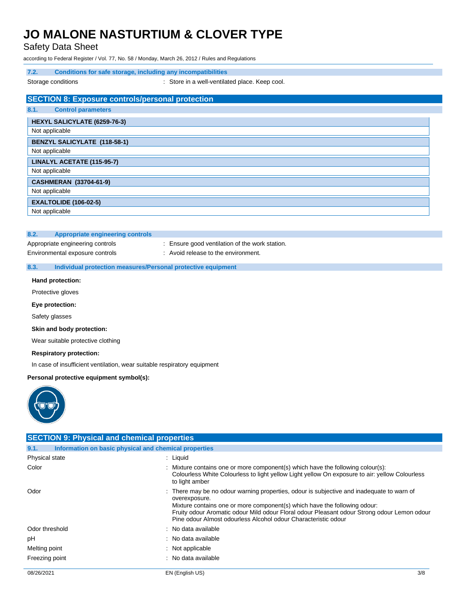Safety Data Sheet

according to Federal Register / Vol. 77, No. 58 / Monday, March 26, 2012 / Rules and Regulations

### **7.2. Conditions for safe storage, including any incompatibilities**

Storage conditions **Storage conditions** : Store in a well-ventilated place. Keep cool.

|      | <b>SECTION 8: Exposure controls/personal protection</b> |
|------|---------------------------------------------------------|
| 8.1. | <b>Control parameters</b>                               |
|      | HEXYL SALICYLATE (6259-76-3)                            |
|      | Not applicable                                          |
|      | <b>BENZYL SALICYLATE (118-58-1)</b>                     |
|      | Not applicable                                          |
|      | LINALYL ACETATE (115-95-7)                              |
|      | Not applicable                                          |
|      | <b>CASHMERAN (33704-61-9)</b>                           |
|      | Not applicable                                          |
|      | <b>EXALTOLIDE (106-02-5)</b>                            |
|      | Not applicable                                          |

### **8.2. Appropriate engineering controls**

- Appropriate engineering controls : Ensure good ventilation of the work station.
- **8.3. Individual protection measures/Personal protective equipment**

Environmental exposure controls : Avoid release to the environment.

### **Hand protection:**

Protective gloves

#### **Eye protection:**

Safety glasses

### **Skin and body protection:**

Wear suitable protective clothing

#### **Respiratory protection:**

In case of insufficient ventilation, wear suitable respiratory equipment

### **Personal protective equipment symbol(s):**



| <b>SECTION 9: Physical and chemical properties</b> |                                                                                                                                                                                                                                                                                                                                                          |
|----------------------------------------------------|----------------------------------------------------------------------------------------------------------------------------------------------------------------------------------------------------------------------------------------------------------------------------------------------------------------------------------------------------------|
| 9.1.                                               | Information on basic physical and chemical properties                                                                                                                                                                                                                                                                                                    |
| Physical state                                     | $:$ Liquid                                                                                                                                                                                                                                                                                                                                               |
| Color                                              | : Mixture contains one or more component(s) which have the following colour(s):<br>Colourless White Colourless to light yellow Light yellow On exposure to air: yellow Colourless<br>to light amber                                                                                                                                                      |
| Odor                                               | : There may be no odour warning properties, odour is subjective and inadequate to warn of<br>overexposure.<br>Mixture contains one or more component(s) which have the following odour:<br>Fruity odour Aromatic odour Mild odour Floral odour Pleasant odour Strong odour Lemon odour<br>Pine odour Almost odourless Alcohol odour Characteristic odour |
| Odor threshold                                     | : No data available                                                                                                                                                                                                                                                                                                                                      |
| рH                                                 | : No data available                                                                                                                                                                                                                                                                                                                                      |
| Melting point                                      | $:$ Not applicable                                                                                                                                                                                                                                                                                                                                       |
| Freezing point                                     | : No data available                                                                                                                                                                                                                                                                                                                                      |
| 08/26/2021                                         | 3/8<br>EN (English US)                                                                                                                                                                                                                                                                                                                                   |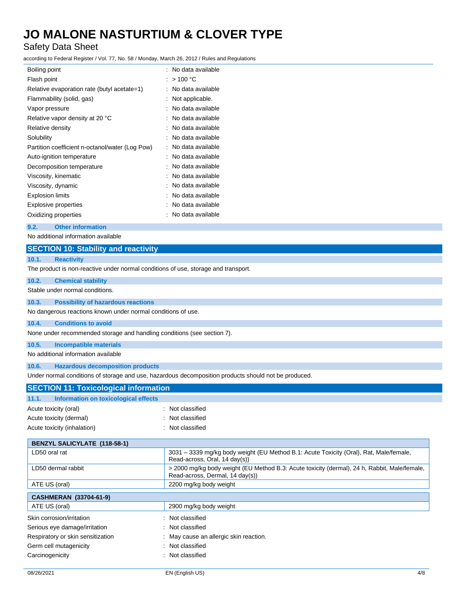# Safety Data Sheet

according to Federal Register / Vol. 77, No. 58 / Monday, March 26, 2012 / Rules and Regulations

| Boiling point                                   |   | : No data available |
|-------------------------------------------------|---|---------------------|
| Flash point                                     | ÷ | $>$ 100 °C          |
| Relative evaporation rate (butyl acetate=1)     | t | No data available   |
| Flammability (solid, gas)                       |   | Not applicable.     |
| Vapor pressure                                  |   | No data available   |
| Relative vapor density at 20 °C                 | ٠ | No data available   |
| Relative density                                | t | No data available   |
| Solubility                                      |   | No data available   |
| Partition coefficient n-octanol/water (Log Pow) | t | No data available   |
| Auto-ignition temperature                       | t | No data available   |
| Decomposition temperature                       | t | No data available   |
| Viscosity, kinematic                            | ٠ | No data available   |
| Viscosity, dynamic                              |   | No data available   |
| <b>Explosion limits</b>                         |   | No data available   |
| <b>Explosive properties</b>                     |   | No data available   |
| Oxidizing properties                            |   | No data available   |

### **9.2. Other information**

No additional information available

| <b>SECTION 10: Stability and reactivity</b>                                        |                                                                                                                                 |  |
|------------------------------------------------------------------------------------|---------------------------------------------------------------------------------------------------------------------------------|--|
| 10.1.<br><b>Reactivity</b>                                                         |                                                                                                                                 |  |
| The product is non-reactive under normal conditions of use, storage and transport. |                                                                                                                                 |  |
| 10.2.<br><b>Chemical stability</b>                                                 |                                                                                                                                 |  |
| Stable under normal conditions.                                                    |                                                                                                                                 |  |
| 10.3.<br><b>Possibility of hazardous reactions</b>                                 |                                                                                                                                 |  |
| No dangerous reactions known under normal conditions of use.                       |                                                                                                                                 |  |
| <b>Conditions to avoid</b><br>10.4.                                                |                                                                                                                                 |  |
| None under recommended storage and handling conditions (see section 7).            |                                                                                                                                 |  |
| 10.5.<br><b>Incompatible materials</b>                                             |                                                                                                                                 |  |
| No additional information available                                                |                                                                                                                                 |  |
| 10.6.<br><b>Hazardous decomposition products</b>                                   |                                                                                                                                 |  |
|                                                                                    | Under normal conditions of storage and use, hazardous decomposition products should not be produced.                            |  |
| <b>SECTION 11: Toxicological information</b>                                       |                                                                                                                                 |  |
| 11.1.<br>Information on toxicological effects                                      |                                                                                                                                 |  |
| Acute toxicity (oral)                                                              | : Not classified                                                                                                                |  |
| Acute toxicity (dermal)                                                            | Not classified                                                                                                                  |  |
| Acute toxicity (inhalation)                                                        | Not classified                                                                                                                  |  |
| <b>BENZYL SALICYLATE (118-58-1)</b>                                                |                                                                                                                                 |  |
| LD50 oral rat                                                                      | 3031 - 3339 mg/kg body weight (EU Method B.1: Acute Toxicity (Oral), Rat, Male/female,<br>Read-across, Oral, 14 day(s))         |  |
| LD50 dermal rabbit                                                                 | > 2000 mg/kg body weight (EU Method B.3: Acute toxicity (dermal), 24 h, Rabbit, Male/female,<br>Read-across, Dermal, 14 day(s)) |  |
| ATE US (oral)                                                                      | 2200 mg/kg body weight                                                                                                          |  |
| <b>CASHMERAN (33704-61-9)</b>                                                      |                                                                                                                                 |  |
| ATE US (oral)                                                                      | 2900 mg/kg body weight                                                                                                          |  |
| Skin corrosion/irritation                                                          | Not classified                                                                                                                  |  |
| Serious eye damage/irritation                                                      | Not classified                                                                                                                  |  |
| Respiratory or skin sensitization                                                  | May cause an allergic skin reaction.                                                                                            |  |
| Germ cell mutagenicity                                                             | Not classified                                                                                                                  |  |
| Carcinogenicity                                                                    | Not classified                                                                                                                  |  |
|                                                                                    |                                                                                                                                 |  |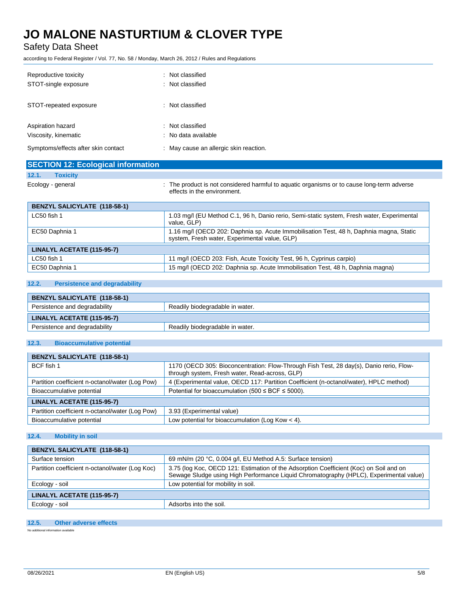Safety Data Sheet

according to Federal Register / Vol. 77, No. 58 / Monday, March 26, 2012 / Rules and Regulations

| Reproductive toxicity               | : Not classified                     |
|-------------------------------------|--------------------------------------|
| STOT-single exposure                | : Not classified                     |
| STOT-repeated exposure              | : Not classified                     |
| Aspiration hazard                   | : Not classified                     |
| Viscosity, kinematic                | : No data available                  |
| Symptoms/effects after skin contact | May cause an allergic skin reaction. |

| <b>SECTION 12: Ecological information</b> |                                                                                                                                          |
|-------------------------------------------|------------------------------------------------------------------------------------------------------------------------------------------|
| 12.1.<br><b>Toxicity</b>                  |                                                                                                                                          |
| Ecology - general                         | : The product is not considered harmful to aquatic organisms or to cause long-term adverse<br>effects in the environment.                |
| <b>BENZYL SALICYLATE (118-58-1)</b>       |                                                                                                                                          |
| LC50 fish 1                               | 1.03 mg/l (EU Method C.1, 96 h, Danio rerio, Semi-static system, Fresh water, Experimental<br>value. GLP)                                |
| EC50 Daphnia 1                            | 1.16 mg/l (OECD 202: Daphnia sp. Acute Immobilisation Test, 48 h, Daphnia magna, Static<br>system, Fresh water, Experimental value, GLP) |
| LINALYL ACETATE (115-95-7)                |                                                                                                                                          |
| LC50 fish 1                               | 11 mg/l (OECD 203: Fish, Acute Toxicity Test, 96 h, Cyprinus carpio)                                                                     |

# **12.2. Persistence and degradability**

| <b>BENZYL SALICYLATE (118-58-1)</b> |                                 |
|-------------------------------------|---------------------------------|
| Persistence and degradability       | Readily biodegradable in water. |
| LINALYL ACETATE (115-95-7)          |                                 |
| Persistence and degradability       | Readily biodegradable in water. |

EC50 Daphnia 1 15 mg/l (OECD 202: Daphnia sp. Acute Immobilisation Test, 48 h, Daphnia magna)

# **12.3. Bioaccumulative potential**

| <b>BENZYL SALICYLATE (118-58-1)</b>             |                                                                                                                                           |
|-------------------------------------------------|-------------------------------------------------------------------------------------------------------------------------------------------|
| BCF fish 1                                      | 1170 (OECD 305: Bioconcentration: Flow-Through Fish Test, 28 day(s), Danio rerio, Flow-<br>through system, Fresh water, Read-across, GLP) |
| Partition coefficient n-octanol/water (Log Pow) | 4 (Experimental value, OECD 117: Partition Coefficient (n-octanol/water), HPLC method)                                                    |
| Bioaccumulative potential                       | Potential for bioaccumulation (500 $\leq$ BCF $\leq$ 5000).                                                                               |
| LINALYL ACETATE (115-95-7)                      |                                                                                                                                           |
| Partition coefficient n-octanol/water (Log Pow) | 3.93 (Experimental value)                                                                                                                 |
| Bioaccumulative potential                       | Low potential for bioaccumulation (Log Kow $<$ 4).                                                                                        |

# **12.4. Mobility in soil**

| <b>BENZYL SALICYLATE (118-58-1)</b>             |                                                                                                                                                                                  |
|-------------------------------------------------|----------------------------------------------------------------------------------------------------------------------------------------------------------------------------------|
| Surface tension                                 | 69 mN/m (20 °C, 0.004 g/l, EU Method A.5: Surface tension)                                                                                                                       |
| Partition coefficient n-octanol/water (Log Koc) | 3.75 (log Koc, OECD 121: Estimation of the Adsorption Coefficient (Koc) on Soil and on<br>Sewage Sludge using High Performance Liquid Chromatography (HPLC), Experimental value) |
| Ecology - soil                                  | Low potential for mobility in soil.                                                                                                                                              |
| LINALYL ACETATE (115-95-7)                      |                                                                                                                                                                                  |
| Ecology - soil                                  | Adsorbs into the soil.                                                                                                                                                           |

# **12.5. Other adverse effects**

No additional information available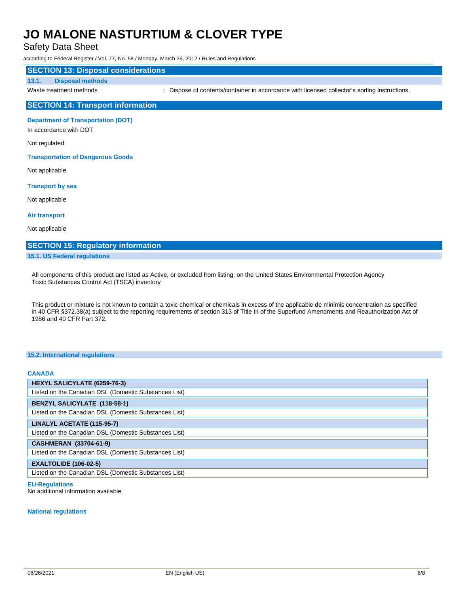Safety Data Sheet

according to Federal Register / Vol. 77, No. 58 / Monday, March 26, 2012 / Rules and Regulations

### **SECTION 13: Disposal considerations**

#### **13.1. Disposal methods**

Waste treatment methods : Dispose of contents/container in accordance with licensed collector's sorting instructions.

# **SECTION 14: Transport information**

**Department of Transportation (DOT)**

In accordance with DOT

#### Not regulated

**Transportation of Dangerous Goods**

Not applicable

#### **Transport by sea**

Not applicable

**Air transport**

Not applicable

### **SECTION 15: Regulatory information**

#### **15.1. US Federal regulations**

All components of this product are listed as Active, or excluded from listing, on the United States Environmental Protection Agency Toxic Substances Control Act (TSCA) inventory

This product or mixture is not known to contain a toxic chemical or chemicals in excess of the applicable de minimis concentration as specified in 40 CFR §372.38(a) subject to the reporting requirements of section 313 of Title III of the Superfund Amendments and Reauthorization Act of 1986 and 40 CFR Part 372.

#### **15.2. International regulations**

# **CANADA HEXYL SALICYLATE (6259-76-3)** Listed on the Canadian DSL (Domestic Substances List) **BENZYL SALICYLATE (118-58-1)** Listed on the Canadian DSL (Domestic Substances List) **LINALYL ACETATE (115-95-7)** Listed on the Canadian DSL (Domestic Substances List) **CASHMERAN (33704-61-9)** Listed on the Canadian DSL (Domestic Substances List) **EXALTOLIDE (106-02-5)** Listed on the Canadian DSL (Domestic Substances List)

# **EU-Regulations**

No additional information available

#### **National regulations**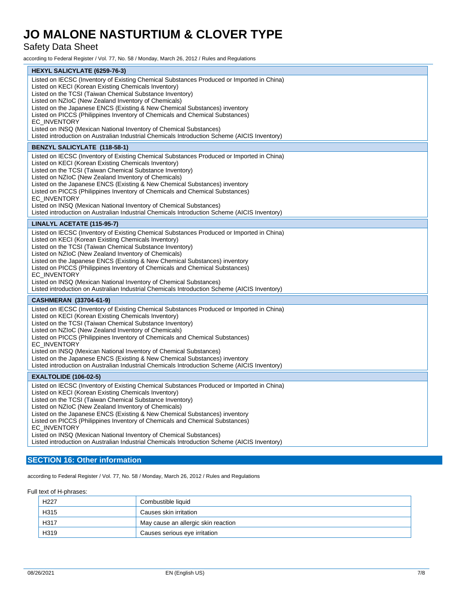Safety Data Sheet

according to Federal Register / Vol. 77, No. 58 / Monday, March 26, 2012 / Rules and Regulations

| <b>HEXYL SALICYLATE (6259-76-3)</b>                                                                                                                                                                                                                                                                                                                                                                                                                                                                                                                                                                                              |
|----------------------------------------------------------------------------------------------------------------------------------------------------------------------------------------------------------------------------------------------------------------------------------------------------------------------------------------------------------------------------------------------------------------------------------------------------------------------------------------------------------------------------------------------------------------------------------------------------------------------------------|
| Listed on IECSC (Inventory of Existing Chemical Substances Produced or Imported in China)<br>Listed on KECI (Korean Existing Chemicals Inventory)<br>Listed on the TCSI (Taiwan Chemical Substance Inventory)<br>Listed on NZIoC (New Zealand Inventory of Chemicals)<br>Listed on the Japanese ENCS (Existing & New Chemical Substances) inventory<br>Listed on PICCS (Philippines Inventory of Chemicals and Chemical Substances)<br><b>EC INVENTORY</b><br>Listed on INSQ (Mexican National Inventory of Chemical Substances)<br>Listed introduction on Australian Industrial Chemicals Introduction Scheme (AICIS Inventory) |
| <b>BENZYL SALICYLATE (118-58-1)</b>                                                                                                                                                                                                                                                                                                                                                                                                                                                                                                                                                                                              |
| Listed on IECSC (Inventory of Existing Chemical Substances Produced or Imported in China)<br>Listed on KECI (Korean Existing Chemicals Inventory)<br>Listed on the TCSI (Taiwan Chemical Substance Inventory)<br>Listed on NZIoC (New Zealand Inventory of Chemicals)<br>Listed on the Japanese ENCS (Existing & New Chemical Substances) inventory<br>Listed on PICCS (Philippines Inventory of Chemicals and Chemical Substances)<br>EC_INVENTORY<br>Listed on INSQ (Mexican National Inventory of Chemical Substances)<br>Listed introduction on Australian Industrial Chemicals Introduction Scheme (AICIS Inventory)        |
| LINALYL ACETATE (115-95-7)                                                                                                                                                                                                                                                                                                                                                                                                                                                                                                                                                                                                       |
| Listed on IECSC (Inventory of Existing Chemical Substances Produced or Imported in China)<br>Listed on KECI (Korean Existing Chemicals Inventory)<br>Listed on the TCSI (Taiwan Chemical Substance Inventory)<br>Listed on NZIoC (New Zealand Inventory of Chemicals)<br>Listed on the Japanese ENCS (Existing & New Chemical Substances) inventory<br>Listed on PICCS (Philippines Inventory of Chemicals and Chemical Substances)<br>EC_INVENTORY<br>Listed on INSQ (Mexican National Inventory of Chemical Substances)<br>Listed introduction on Australian Industrial Chemicals Introduction Scheme (AICIS Inventory)        |
| CASHMERAN (33704-61-9)                                                                                                                                                                                                                                                                                                                                                                                                                                                                                                                                                                                                           |
| Listed on IECSC (Inventory of Existing Chemical Substances Produced or Imported in China)<br>Listed on KECI (Korean Existing Chemicals Inventory)<br>Listed on the TCSI (Taiwan Chemical Substance Inventory)<br>Listed on NZIoC (New Zealand Inventory of Chemicals)<br>Listed on PICCS (Philippines Inventory of Chemicals and Chemical Substances)<br><b>EC INVENTORY</b><br>Listed on INSQ (Mexican National Inventory of Chemical Substances)<br>Listed on the Japanese ENCS (Existing & New Chemical Substances) inventory<br>Listed introduction on Australian Industrial Chemicals Introduction Scheme (AICIS Inventory) |
| <b>EXALTOLIDE (106-02-5)</b>                                                                                                                                                                                                                                                                                                                                                                                                                                                                                                                                                                                                     |
| Listed on IECSC (Inventory of Existing Chemical Substances Produced or Imported in China)<br>Listed on KECI (Korean Existing Chemicals Inventory)<br>Listed on the TCSI (Taiwan Chemical Substance Inventory)<br>Listed on NZIoC (New Zealand Inventory of Chemicals)<br>Listed on the Japanese ENCS (Existing & New Chemical Substances) inventory<br>Listed on PICCS (Philippines Inventory of Chemicals and Chemical Substances)<br><b>EC INVENTORY</b><br>Listed on INSQ (Mexican National Inventory of Chemical Substances)<br>Listed introduction on Australian Industrial Chemicals Introduction Scheme (AICIS Inventory) |

# **SECTION 16: Other information**

according to Federal Register / Vol. 77, No. 58 / Monday, March 26, 2012 / Rules and Regulations

Full text of H-phrases:

| H <sub>227</sub> | Combustible liquid                  |
|------------------|-------------------------------------|
| H315             | Causes skin irritation              |
| H317             | May cause an allergic skin reaction |
| H319             | Causes serious eye irritation       |